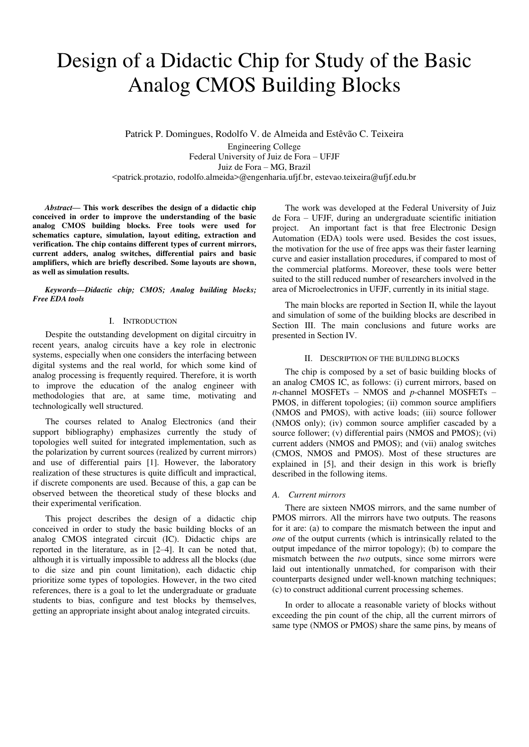# Design of a Didactic Chip for Study of the Basic Analog CMOS Building Blocks

Patrick P. Domingues, Rodolfo V. de Almeida and Estêvão C. Teixeira

Engineering College Federal University of Juiz de Fora – UFJF Juiz de Fora – MG, Brazil <patrick.protazio, rodolfo.almeida>@engenharia.ufjf.br, estevao.teixeira@ufjf.edu.br

*Abstract***— This work describes the design of a didactic chip conceived in order to improve the understanding of the basic analog CMOS building blocks. Free tools were used for schematics capture, simulation, layout editing, extraction and verification. The chip contains different types of current mirrors, current adders, analog switches, differential pairs and basic amplifiers, which are briefly described. Some layouts are shown, as well as simulation results.** 

*Keywords—Didactic chip; CMOS; Analog building blocks; Free EDA tools* 

## I. INTRODUCTION

Despite the outstanding development on digital circuitry in recent years, analog circuits have a key role in electronic systems, especially when one considers the interfacing between digital systems and the real world, for which some kind of analog processing is frequently required. Therefore, it is worth to improve the education of the analog engineer with methodologies that are, at same time, motivating and technologically well structured.

The courses related to Analog Electronics (and their support bibliography) emphasizes currently the study of topologies well suited for integrated implementation, such as the polarization by current sources (realized by current mirrors) and use of differential pairs [1]. However, the laboratory realization of these structures is quite difficult and impractical, if discrete components are used. Because of this, a gap can be observed between the theoretical study of these blocks and their experimental verification.

This project describes the design of a didactic chip conceived in order to study the basic building blocks of an analog CMOS integrated circuit (IC). Didactic chips are reported in the literature, as in [2–4]. It can be noted that, although it is virtually impossible to address all the blocks (due to die size and pin count limitation), each didactic chip prioritize some types of topologies. However, in the two cited references, there is a goal to let the undergraduate or graduate students to bias, configure and test blocks by themselves, getting an appropriate insight about analog integrated circuits.

The work was developed at the Federal University of Juiz de Fora – UFJF, during an undergraduate scientific initiation project. An important fact is that free Electronic Design Automation (EDA) tools were used. Besides the cost issues, the motivation for the use of free apps was their faster learning curve and easier installation procedures, if compared to most of the commercial platforms. Moreover, these tools were better suited to the still reduced number of researchers involved in the area of Microelectronics in UFJF, currently in its initial stage.

The main blocks are reported in Section II, while the layout and simulation of some of the building blocks are described in Section III. The main conclusions and future works are presented in Section IV.

## II. DESCRIPTION OF THE BUILDING BLOCKS

The chip is composed by a set of basic building blocks of an analog CMOS IC, as follows: (i) current mirrors, based on *n*-channel MOSFETs – NMOS and *p*-channel MOSFETs – PMOS, in different topologies; (ii) common source amplifiers (NMOS and PMOS), with active loads; (iii) source follower (NMOS only); (iv) common source amplifier cascaded by a source follower; (v) differential pairs (NMOS and PMOS); (vi) current adders (NMOS and PMOS); and (vii) analog switches (CMOS, NMOS and PMOS). Most of these structures are explained in [5], and their design in this work is briefly described in the following items.

## *A. Current mirrors*

There are sixteen NMOS mirrors, and the same number of PMOS mirrors. All the mirrors have two outputs. The reasons for it are: (a) to compare the mismatch between the input and *one* of the output currents (which is intrinsically related to the output impedance of the mirror topology); (b) to compare the mismatch between the *two* outputs, since some mirrors were laid out intentionally unmatched, for comparison with their counterparts designed under well-known matching techniques; (c) to construct additional current processing schemes.

In order to allocate a reasonable variety of blocks without exceeding the pin count of the chip, all the current mirrors of same type (NMOS or PMOS) share the same pins, by means of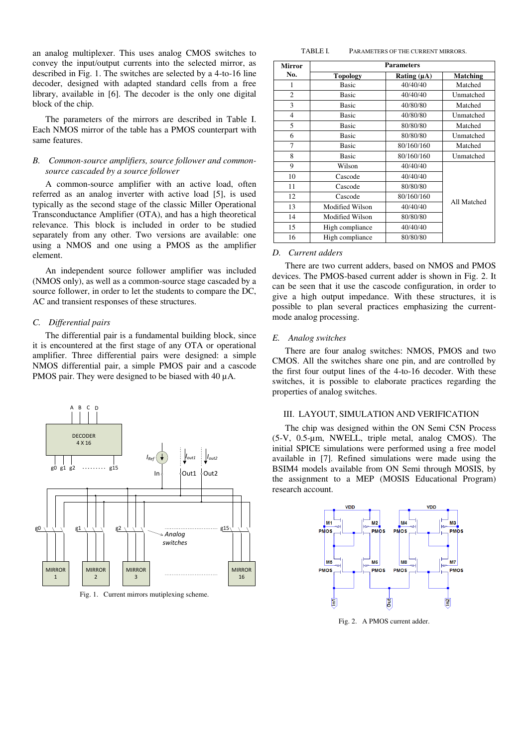an analog multiplexer. This uses analog CMOS switches to convey the input/output currents into the selected mirror, as described in Fig. 1. The switches are selected by a 4-to-16 line decoder, designed with adapted standard cells from a free library, available in [6]. The decoder is the only one digital block of the chip.

The parameters of the mirrors are described in Table I. Each NMOS mirror of the table has a PMOS counterpart with same features.

## *B. Common-source amplifiers, source follower and commonsource cascaded by a source follower*

A common-source amplifier with an active load, often referred as an analog inverter with active load [5], is used typically as the second stage of the classic Miller Operational Transconductance Amplifier (OTA), and has a high theoretical relevance. This block is included in order to be studied separately from any other. Two versions are available: one using a NMOS and one using a PMOS as the amplifier element.

An independent source follower amplifier was included (NMOS only), as well as a common-source stage cascaded by a source follower, in order to let the students to compare the DC, AC and transient responses of these structures.

## *C. Differential pairs*

The differential pair is a fundamental building block, since it is encountered at the first stage of any OTA or operational amplifier. Three differential pairs were designed: a simple NMOS differential pair, a simple PMOS pair and a cascode PMOS pair. They were designed to be biased with 40  $\mu$ A.



Fig. 1. Current mirrors mutiplexing scheme.

| Mirror         | <b>Parameters</b> |                  |                 |
|----------------|-------------------|------------------|-----------------|
| No.            | <b>Topology</b>   | Rating $(\mu A)$ | <b>Matching</b> |
| 1              | <b>Basic</b>      | 40/40/40         | Matched         |
| $\overline{2}$ | <b>Basic</b>      | 40/40/40         | Unmatched       |
| 3              | <b>Basic</b>      | 40/80/80         | Matched         |
| 4              | <b>Basic</b>      | 40/80/80         | Unmatched       |
| 5              | <b>Basic</b>      | 80/80/80         | Matched         |
| 6              | <b>Basic</b>      | 80/80/80         | Unmatched       |
| 7              | <b>Basic</b>      | 80/160/160       | Matched         |
| 8              | <b>Basic</b>      | 80/160/160       | Unmatched       |
| 9              | Wilson            | 40/40/40         | All Matched     |
| 10             | Cascode           | 40/40/40         |                 |
| 11             | Cascode           | 80/80/80         |                 |
| 12             | Cascode           | 80/160/160       |                 |
| 13             | Modified Wilson   | 40/40/40         |                 |
| 14             | Modified Wilson   | 80/80/80         |                 |
| 15             | High compliance   | 40/40/40         |                 |
| 16             | High compliance   | 80/80/80         |                 |

#### *D. Current adders*

There are two current adders, based on NMOS and PMOS devices. The PMOS-based current adder is shown in Fig. 2. It can be seen that it use the cascode configuration, in order to give a high output impedance. With these structures, it is possible to plan several practices emphasizing the currentmode analog processing.

## *E. Analog switches*

There are four analog switches: NMOS, PMOS and two CMOS. All the switches share one pin, and are controlled by the first four output lines of the 4-to-16 decoder. With these switches, it is possible to elaborate practices regarding the properties of analog switches.

## III. LAYOUT, SIMULATION AND VERIFICATION

The chip was designed within the ON Semi C5N Process (5-V, 0.5-µm, NWELL, triple metal, analog CMOS). The initial SPICE simulations were performed using a free model available in [7]. Refined simulations were made using the BSIM4 models available from ON Semi through MOSIS, by the assignment to a MEP (MOSIS Educational Program) research account.



Fig. 2. A PMOS current adder.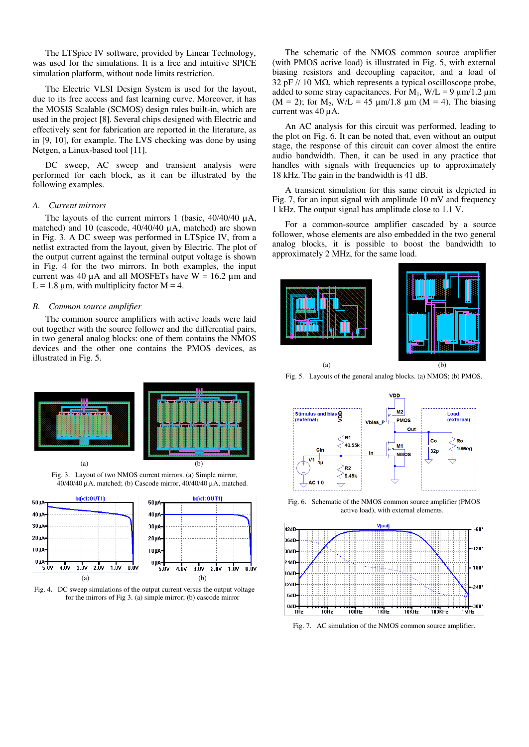The LTSpice IV software, provided by Linear Technology, was used for the simulations. It is a free and intuitive SPICE simulation platform, without node limits restriction.

The Electric VLSI Design System is used for the layout, due to its free access and fast learning curve. Moreover, it has the MOSIS Scalable (SCMOS) design rules built-in, which are used in the project [8]. Several chips designed with Electric and effectively sent for fabrication are reported in the literature, as in [9, 10], for example. The LVS checking was done by using Netgen, a Linux-based tool [11].

DC sweep, AC sweep and transient analysis were performed for each block, as it can be illustrated by the following examples.

#### *A. Current mirrors*

The layouts of the current mirrors 1 (basic,  $40/40/40 \mu A$ , matched) and 10 (cascode,  $40/40/40 \mu$ A, matched) are shown in Fig. 3. A DC sweep was performed in LTSpice IV, from a netlist extracted from the layout, given by Electric. The plot of the output current against the terminal output voltage is shown in Fig. 4 for the two mirrors. In both examples, the input current was 40  $\mu$ A and all MOSFETs have W = 16.2  $\mu$ m and  $L = 1.8 \mu m$ , with multiplicity factor M = 4.

### *B. Common source amplifier*

The common source amplifiers with active loads were laid out together with the source follower and the differential pairs, in two general analog blocks: one of them contains the NMOS devices and the other one contains the PMOS devices, as illustrated in Fig. 5.



Fig. 3. Layout of two NMOS current mirrors. (a) Simple mirror, 40/40/40 µA, matched; (b) Cascode mirror, 40/40/40 µA, matched.



Fig. 4. DC sweep simulations of the output current versus the output voltage for the mirrors of Fig 3. (a) simple mirror; (b) cascode mirror

The schematic of the NMOS common source amplifier (with PMOS active load) is illustrated in Fig. 5, with external biasing resistors and decoupling capacitor, and a load of 32 pF  $\text{/}$  10 M $\Omega$ , which represents a typical oscilloscope probe, added to some stray capacitances. For  $M_1$ ,  $W/L = 9 \mu m/1.2 \mu m$ (M = 2); for M<sub>2</sub>, W/L = 45  $\mu$ m/1.8  $\mu$ m (M = 4). The biasing current was 40 µA.

An AC analysis for this circuit was performed, leading to the plot on Fig. 6. It can be noted that, even without an output stage, the response of this circuit can cover almost the entire audio bandwidth. Then, it can be used in any practice that handles with signals with frequencies up to approximately 18 kHz. The gain in the bandwidth is 41 dB.

A transient simulation for this same circuit is depicted in Fig. 7, for an input signal with amplitude 10 mV and frequency 1 kHz. The output signal has amplitude close to 1.1 V.

For a common-source amplifier cascaded by a source follower, whose elements are also embedded in the two general analog blocks, it is possible to boost the bandwidth to approximately 2 MHz, for the same load.





Fig. 5. Layouts of the general analog blocks. (a) NMOS; (b) PMOS.



Fig. 6. Schematic of the NMOS common source amplifier (PMOS active load), with external elements.



Fig. 7. AC simulation of the NMOS common source amplifier.